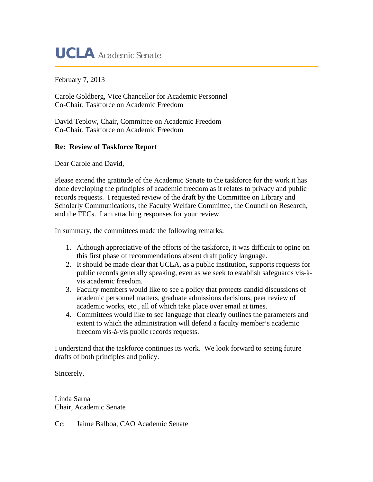# **UCLA** *Academic Senate*

February 7, 2013

Carole Goldberg, Vice Chancellor for Academic Personnel Co-Chair, Taskforce on Academic Freedom

David Teplow, Chair, Committee on Academic Freedom Co-Chair, Taskforce on Academic Freedom

#### **Re: Review of Taskforce Report**

Dear Carole and David,

Please extend the gratitude of the Academic Senate to the taskforce for the work it has done developing the principles of academic freedom as it relates to privacy and public records requests. I requested review of the draft by the Committee on Library and Scholarly Communications, the Faculty Welfare Committee, the Council on Research, and the FECs. I am attaching responses for your review.

In summary, the committees made the following remarks:

- 1. Although appreciative of the efforts of the taskforce, it was difficult to opine on this first phase of recommendations absent draft policy language.
- 2. It should be made clear that UCLA, as a public institution, supports requests for public records generally speaking, even as we seek to establish safeguards vis-àvis academic freedom.
- 3. Faculty members would like to see a policy that protects candid discussions of academic personnel matters, graduate admissions decisions, peer review of academic works, etc., all of which take place over email at times.
- 4. Committees would like to see language that clearly outlines the parameters and extent to which the administration will defend a faculty member's academic freedom vis-à-vis public records requests.

I understand that the taskforce continues its work. We look forward to seeing future drafts of both principles and policy.

Sincerely,

Linda Sarna Chair, Academic Senate

Cc: Jaime Balboa, CAO Academic Senate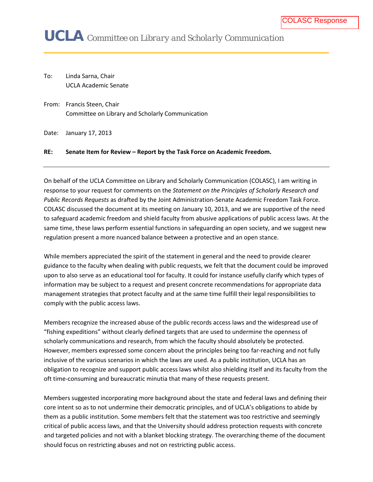# **UCLA** *Committee on Library and Scholarly Communication*

To: Linda Sarna, Chair UCLA Academic Senate

From: Francis Steen, Chair Committee on Library and Scholarly Communication

Date: January 17, 2013

#### **RE: Senate Item for Review – Report by the Task Force on Academic Freedom.**

On behalf of the UCLA Committee on Library and Scholarly Communication (COLASC), I am writing in response to your request for comments on the *Statement on the Principles of Scholarly Research and Public Records Requests* as drafted by the Joint Administration-Senate Academic Freedom Task Force. COLASC discussed the document at its meeting on January 10, 2013, and we are supportive of the need to safeguard academic freedom and shield faculty from abusive applications of public access laws. At the same time, these laws perform essential functions in safeguarding an open society, and we suggest new regulation present a more nuanced balance between a protective and an open stance.

While members appreciated the spirit of the statement in general and the need to provide clearer guidance to the faculty when dealing with public requests, we felt that the document could be improved upon to also serve as an educational tool for faculty. It could for instance usefully clarify which types of information may be subject to a request and present concrete recommendations for appropriate data management strategies that protect faculty and at the same time fulfill their legal responsibilities to comply with the public access laws.

Members recognize the increased abuse of the public records access laws and the widespread use of "fishing expeditions" without clearly defined targets that are used to undermine the openness of scholarly communications and research, from which the faculty should absolutely be protected. However, members expressed some concern about the principles being too far-reaching and not fully inclusive of the various scenarios in which the laws are used. As a public institution, UCLA has an obligation to recognize and support public access laws whilst also shielding itself and its faculty from the oft time-consuming and bureaucratic minutia that many of these requests present.

Members suggested incorporating more background about the state and federal laws and defining their core intent so as to not undermine their democratic principles, and of UCLA's obligations to abide by them as a public institution. Some members felt that the statement was too restrictive and seemingly critical of public access laws, and that the University should address protection requests with concrete and targeted policies and not with a blanket blocking strategy. The overarching theme of the document should focus on restricting abuses and not on restricting public access.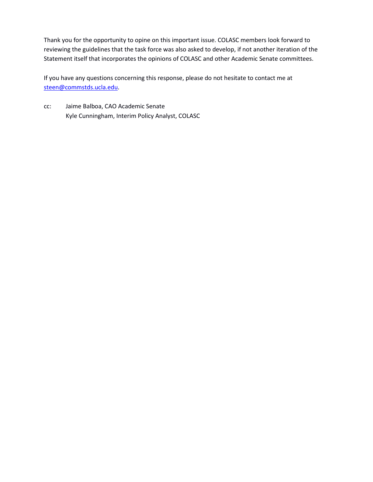Thank you for the opportunity to opine on this important issue. COLASC members look forward to reviewing the guidelines that the task force was also asked to develop, if not another iteration of the Statement itself that incorporates the opinions of COLASC and other Academic Senate committees.

If you have any questions concerning this response, please do not hesitate to contact me at [steen@commstds.ucla.edu.](mailto:steen@commstds.ucla.edu)

cc: Jaime Balboa, CAO Academic Senate Kyle Cunningham, Interim Policy Analyst, COLASC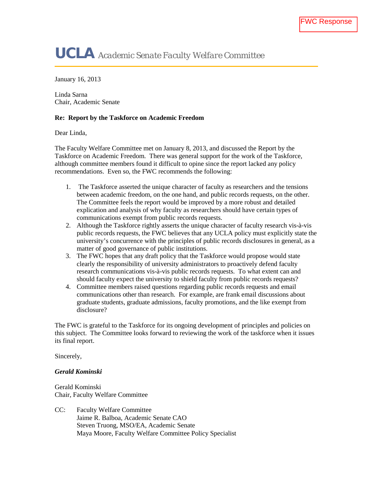# **UCLA** *Academic Senate Faculty Welfare Committee*

January 16, 2013

Linda Sarna Chair, Academic Senate

#### **Re: Report by the Taskforce on Academic Freedom**

Dear Linda,

The Faculty Welfare Committee met on January 8, 2013, and discussed the Report by the Taskforce on Academic Freedom. There was general support for the work of the Taskforce, although committee members found it difficult to opine since the report lacked any policy recommendations. Even so, the FWC recommends the following:

- 1. The Taskforce asserted the unique character of faculty as researchers and the tensions between academic freedom, on the one hand, and public records requests, on the other. The Committee feels the report would be improved by a more robust and detailed explication and analysis of why faculty as researchers should have certain types of communications exempt from public records requests.
- 2. Although the Taskforce rightly asserts the unique character of faculty research vis-à-vis public records requests, the FWC believes that any UCLA policy must explicitly state the university's concurrence with the principles of public records disclosures in general, as a matter of good governance of public institutions.
- 3. The FWC hopes that any draft policy that the Taskforce would propose would state clearly the responsibility of university administrators to proactively defend faculty research communications vis-à-vis public records requests. To what extent can and should faculty expect the university to shield faculty from public records requests?
- 4. Committee members raised questions regarding public records requests and email communications other than research. For example, are frank email discussions about graduate students, graduate admissions, faculty promotions, and the like exempt from disclosure?

The FWC is grateful to the Taskforce for its ongoing development of principles and policies on this subject. The Committee looks forward to reviewing the work of the taskforce when it issues its final report.

Sincerely,

*Gerald Kominski*

Gerald Kominski Chair, Faculty Welfare Committee

CC: Faculty Welfare Committee Jaime R. Balboa, Academic Senate CAO Steven Truong, MSO/EA, Academic Senate Maya Moore, Faculty Welfare Committee Policy Specialist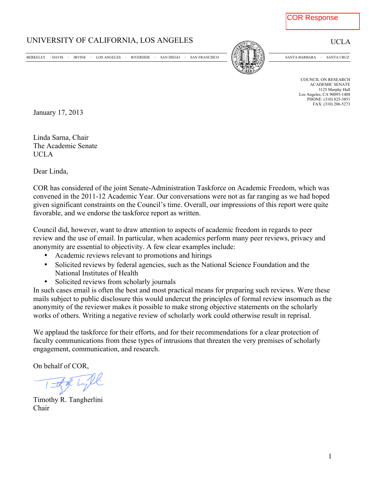## UNIVERSITY OF CALIFORNIA, LOS ANGELES UCLA

BERKELEY DAVIS IRVINE LOS ANGELES RIVERSIDE SAN DIEGO SAN FRANCISCO [P|//|||津達 梁美이 SANTA BARBARA SANTA CRUZ



COUNCIL ON RESEARCH ACADEMIC SENATE 3125 Murphy Hall Los Angeles, CA 90095-1408 PHONE: (310) 825-3851 FAX: (310) 206-5273

January 17, 2013

Linda Sarna, Chair The Academic Senate UCLA

Dear Linda,

COR has considered of the joint Senate-Administration Taskforce on Academic Freedom, which was convened in the 2011-12 Academic Year. Our conversations were not as far ranging as we had hoped given significant constraints on the Council's time. Overall, our impressions of this report were quite favorable, and we endorse the taskforce report as written.

Council did, however, want to draw attention to aspects of academic freedom in regards to peer review and the use of email. In particular, when academics perform many peer reviews, privacy and anonymity are essential to objectivity. A few clear examples include:

- Academic reviews relevant to promotions and hirings
- Solicited reviews by federal agencies, such as the National Science Foundation and the National Institutes of Health
- Solicited reviews from scholarly journals

In such cases email is often the best and most practical means for preparing such reviews. Were these mails subject to public disclosure this would undercut the principles of formal review insomuch as the anonymity of the reviewer makes it possible to make strong objective statements on the scholarly works of others. Writing a negative review of scholarly work could otherwise result in reprisal.

We applaud the taskforce for their efforts, and for their recommendations for a clear protection of faculty communications from these types of intrusions that threaten the very premises of scholarly engagement, communication, and research.

On behalf of COR,

Timothy R. Tangherlini Chair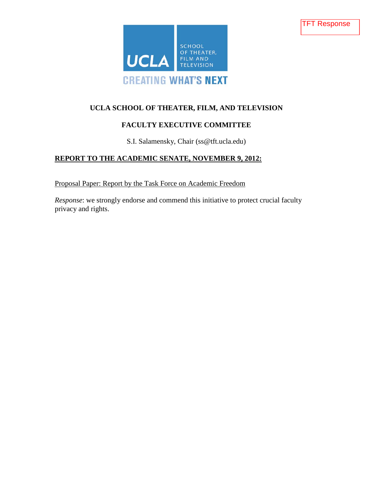



## **UCLA SCHOOL OF THEATER, FILM, AND TELEVISION**

## **FACULTY EXECUTIVE COMMITTEE**

S.I. Salamensky, Chair (ss@tft.ucla.edu)

## **REPORT TO THE ACADEMIC SENATE, NOVEMBER 9, 2012:**

Proposal Paper: Report by the Task Force on Academic Freedom

*Response*: we strongly endorse and commend this initiative to protect crucial faculty privacy and rights.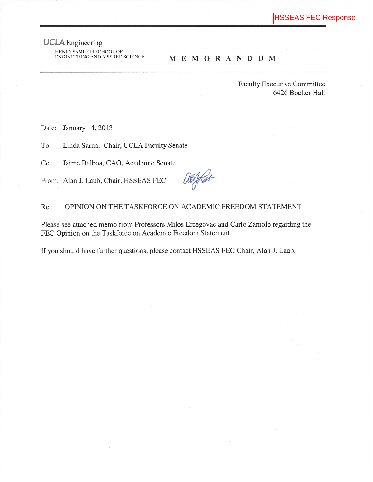## **UCLA** Engineering

HENRY SAMUELI SCHOOL OF ENGINEERING AND APPLIED SCIENCE

#### **MEMORANDUM**

**Faculty Executive Committee** 6426 Boelter Hall

Date: January 14, 2013

To: Linda Sarna, Chair, UCLA Faculty Senate

Cc: Jaime Balboa, CAO, Academic Senate

From: Alan J. Laub, Chair, HSSEAS FEC

alifar

#### OPINION ON THE TASKFORCE ON ACADEMIC FREEDOM STATEMENT Re:

Please see attached memo from Professors Milos Ercegovac and Carlo Zaniolo regarding the FEC Opinion on the Taskforce on Academic Freedom Statement.

If you should have further questions, please contact HSSEAS FEC Chair, Alan J. Laub.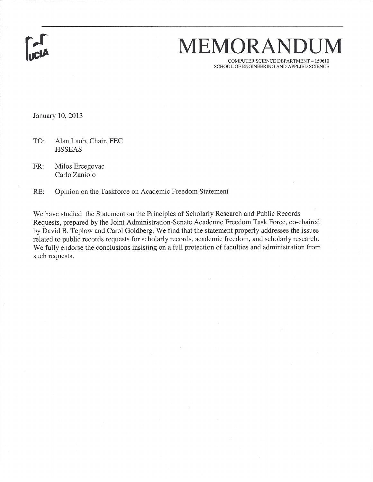# MEMORANDUM

COMPUTER SCIENCE DEPARTMENT - 159610 SCHOOL OF ENGINEERING AND APPLIED SCIENCE

January 10, 2013

TO: Alan Laub, Chair, FEC **HSSEAS** 

FR: Milos Ercegovac Carlo Zaniolo

RE: Opinion on the Taskforce on Academic Freedom Statement

We have studied the Statement on the Principles of Scholarly Research and Public Records Requests, prepared by the Joint Administration-Senate Academic Freedom Task Force, co-chaired by David B. Teplow and Carol Goldberg. We find that the statement properly addresses the issues related to public records requests for scholarly records, academic freedom, and scholarly research. We fully endorse the conclusions insisting on a full protection of faculties and administration from such requests.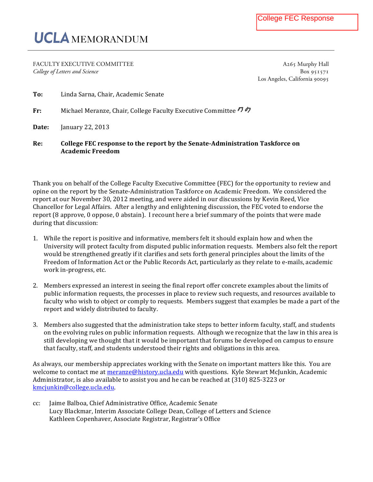# UCLA MEMORANDUM

FACULTY EXECUTIVE COMMITTEE  $A_265$  Murphy Hall *College of Letters and Science* Box

**Academic Freedom**

Los Angeles, California

| Re:   | College FEC response to the report by the Senate-Administration Taskforce on |
|-------|------------------------------------------------------------------------------|
| Date: | January 22, $2013$                                                           |
| Fr:   | Michael Meranze, Chair, College Faculty Executive Committee 7 27             |
| To:   | Linda Sarna, Chair, Academic Senate                                          |

Thank you on behalf of the College Faculty Executive Committee (FEC) for the opportunity to review and opine on the report by the Senate-Administration Taskforce on Academic Freedom. We considered the report at our November 30, 2012 meeting, and were aided in our discussions by Kevin Reed, Vice Chancellor for Legal Affairs. After a lengthy and enlightening discussion, the FEC voted to endorse the report (8 approve, 0 oppose, 0 abstain). I recount here a brief summary of the points that were made during that discussion:

- 1. While the report is positive and informative, members felt it should explain how and when the University will protect faculty from disputed public information requests. Members also felt the report would be strengthened greatly if it clarifies and sets forth general principles about the limits of the Freedom of Information Act or the Public Records Act, particularly as they relate to e-mails, academic work in-progress, etc.
- 2. Members expressed an interest in seeing the final report offer concrete examples about the limits of public information requests, the processes in place to review such requests, and resources available to faculty who wish to object or comply to requests. Members suggest that examples be made a part of the report and widely distributed to faculty.
- 3. Members also suggested that the administration take steps to better inform faculty, staff, and students on the evolving rules on public information requests. Although we recognize that the law in this area is still developing we thought that it would be important that forums be developed on campus to ensure that faculty, staff, and students understood their rights and obligations in this area.

As always, our membership appreciates working with the Senate on important matters like this. You are welcome to contact me at meranze@history.ucla.edu with questions. Kyle Stewart McJunkin, Academic Administrator, is also available to assist you and he can be reached at  $(310)$  825-3223 or kmcjunkin@college.ucla.edu. 

cc: Jaime Balboa, Chief Administrative Office, Academic Senate Lucy Blackmar, Interim Associate College Dean, College of Letters and Science Kathleen Copenhaver, Associate Registrar, Registrar's Office